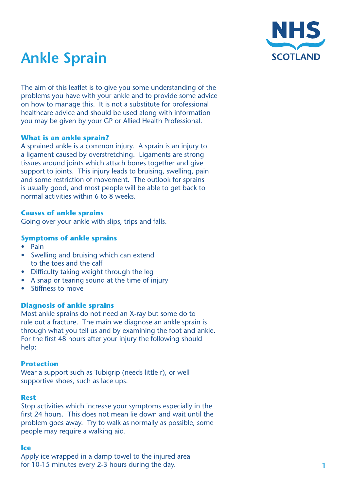

# **Ankle Sprain**

The aim of this leaflet is to give you some understanding of the problems you have with your ankle and to provide some advice on how to manage this. It is not a substitute for professional healthcare advice and should be used along with information you may be given by your GP or Allied Health Professional.

# **What is an ankle sprain?**

A sprained ankle is a common injury. A sprain is an injury to a ligament caused by overstretching. Ligaments are strong tissues around joints which attach bones together and give support to joints. This injury leads to bruising, swelling, pain and some restriction of movement. The outlook for sprains is usually good, and most people will be able to get back to normal activities within 6 to 8 weeks.

# **Causes of ankle sprains**

Going over your ankle with slips, trips and falls.

# **Symptoms of ankle sprains**

- • Pain
- Swelling and bruising which can extend to the toes and the calf
- Difficulty taking weight through the leg
- A snap or tearing sound at the time of injury
- Stiffness to move

### **Diagnosis of ankle sprains**

Most ankle sprains do not need an X-ray but some do to rule out a fracture. The main we diagnose an ankle sprain is through what you tell us and by examining the foot and ankle. For the first 48 hours after your injury the following should help:

### **Protection**

Wear a support such as Tubigrip (needs little r), or well supportive shoes, such as lace ups.

### **Rest**

Stop activities which increase your symptoms especially in the first 24 hours. This does not mean lie down and wait until the problem goes away. Try to walk as normally as possible, some people may require a walking aid.

### **Ice**

Apply ice wrapped in a damp towel to the injured area for 10-15 minutes every 2-3 hours during the day.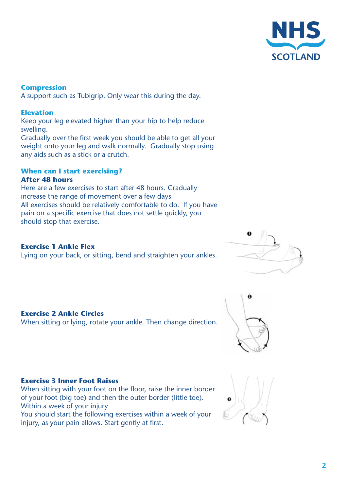

**Compression** A support such as Tubigrip. Only wear this during the day.

# **Elevation**

Keep your leg elevated higher than your hip to help reduce swelling.

Gradually over the first week you should be able to get all your weight onto your leg and walk normally. Gradually stop using any aids such as a stick or a crutch.

#### **When can I start exercising? After 48 hours**

Here are a few exercises to start after 48 hours. Gradually increase the range of movement over a few days. All exercises should be relatively comfortable to do. If you have pain on a specific exercise that does not settle quickly, you should stop that exercise.

# **Exercise 1 Ankle Flex**

Lying on your back, or sitting, bend and straighten your ankles.



# **Exercise 2 Ankle Circles**

When sitting or lying, rotate your ankle. Then change direction.



### **Exercise 3 Inner Foot Raises**

When sitting with your foot on the floor, raise the inner border of your foot (big toe) and then the outer border (little toe). Within a week of your injury

You should start the following exercises within a week of your injury, as your pain allows. Start gently at first.

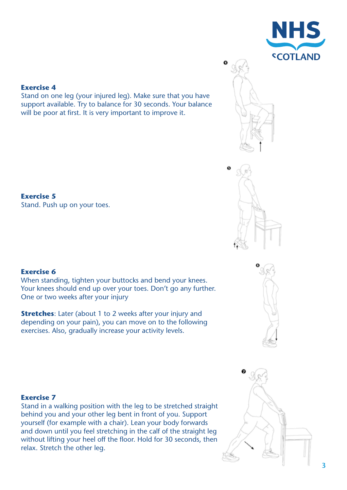



Stand on one leg (your injured leg). Make sure that you have support available. Try to balance for 30 seconds. Your balance will be poor at first. It is very important to improve it.

# **Exercise 5**

Stand. Push up on your toes.

# **Exercise 6**

When standing, tighten your buttocks and bend your knees. Your knees should end up over your toes. Don't go any further. One or two weeks after your injury

**Stretches**: Later (about 1 to 2 weeks after your injury and depending on your pain), you can move on to the following exercises. Also, gradually increase your activity levels.





# **Exercise 7**

Stand in a walking position with the leg to be stretched straight behind you and your other leg bent in front of you. Support yourself (for example with a chair). Lean your body forwards and down until you feel stretching in the calf of the straight leg without lifting your heel off the floor. Hold for 30 seconds, then relax. Stretch the other leg.